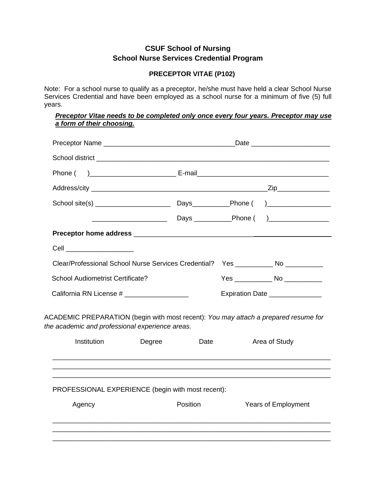## **CSUF School of Nursing School Nurse Services Credential Program**

## **PRECEPTOR VITAE (P102)**

Note: For a school nurse to qualify as a preceptor, he/she must have held a clear School Nurse Services Credential and have been employed as a school nurse for a minimum of five (5) full years.

## *Preceptor Vitae needs to be completed only once every four years. Preceptor may use a form of their choosing.*

| Cell _______________________                                                                                                           |  |                                  |               |                                       |  |
|----------------------------------------------------------------------------------------------------------------------------------------|--|----------------------------------|---------------|---------------------------------------|--|
| Clear/Professional School Nurse Services Credential?                                                                                   |  |                                  |               | Yes ________________ No _____________ |  |
| <b>School Audiometrist Certificate?</b>                                                                                                |  |                                  |               | Yes ________________ No _____________ |  |
| California RN License # __________________                                                                                             |  | Expiration Date ________________ |               |                                       |  |
| ACADEMIC PREPARATION (begin with most recent): You may attach a prepared resume for<br>the academic and professional experience areas. |  |                                  |               |                                       |  |
| Institution<br>Degree                                                                                                                  |  | Date                             | Area of Study |                                       |  |
| PROFESSIONAL EXPERIENCE (begin with most recent):                                                                                      |  |                                  |               |                                       |  |
| Agency                                                                                                                                 |  | Position                         |               | <b>Years of Employment</b>            |  |
|                                                                                                                                        |  |                                  |               |                                       |  |
|                                                                                                                                        |  |                                  |               |                                       |  |